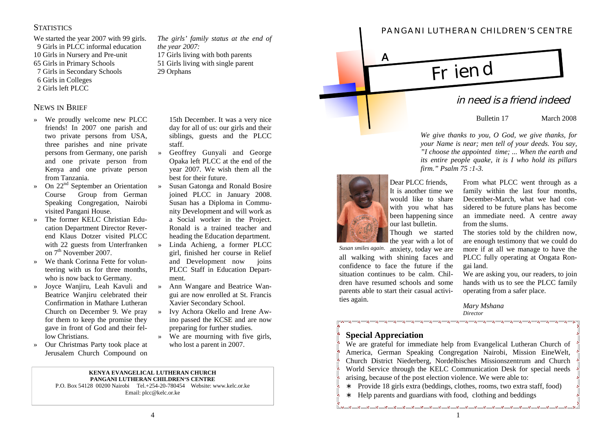## **STATISTICS**

We started the year 2007 with 99 girls. 9 Girls in PLCC informal education 10 Girls in Nursery and Pre-unit 65 Girls in Primary Schools

- 7 Girls in Secondary Schools
- 6 Girls in Colleges
- 2 Girls left PLCC

### NEWS IN BRIEF

- » We proudly welcome new PLCC friends! In 2007 one parish and two private persons from USA, three parishes and nine private persons from Germany, one parish and one private person from Kenya and one private person from Tanzania.
- » On 22nd September an Orientation Course Group from German Speaking Congregation, Nairobi visited Pangani House.
- » The former KELC Christian Education Department Director Reverend Klaus Dotzer visited PLCC with 22 guests from Unterfranken on 7<sup>th</sup> November 2007.
- » We thank Corinna Fette for volunteering with us for three months, who is now back to Germany.
- » Joyce Wanjiru, Leah Kavuli and Beatrice Wanjiru celebrated their Confirmation in Mathare Lutheran Church on December 9. We pray for them to keep the promise they gave in front of God and their fellow Christians.
- » Our Christmas Party took place at Jerusalem Church Compound on

*The girls' family status at the end of the year 2007:* 17 Girls living with both parents 51 Girls living with single parent 29 Orphans

> 15th December. It was a very nice day for all of us: our girls and their siblings, guests and the PLCC staff.

- » Geoffrey Gunyali and George Opaka left PLCC at the end of the year 2007. We wish them all the best for their future.
- » Susan Gatonga and Ronald Bosire joined PLCC in January 2008. Susan has a Diploma in Community Development and will work as a Social worker in the Project. Ronald is a trained teacher and heading the Education department. » Linda Achieng, a former PLCC girl, finished her course in Relief and Development now joins PLCC Staff in Education Department. 21 Orientals December. It was a very size of the set of the set of the set of the set of the set of the set of the set of the set of the set of the set of the set of the set of the set of the set of the set of the set of
	- » Ann Wangare and Beatrice Wangui are now enrolled at St. Francis Xavier Secondary School.
- » Ivy Achora Okello and Irene Awino passed the KCSE and are now preparing for further studies.
- » We are mourning with five girls, who lost a parent in 2007.

#### **KENYA EVANGELICAL LUTHERAN CHURCH PANGANI LUTHERAN CHILDREN'S CENTRE**

P.O. Box 54128 00200 Nairobi Tel.+254-20-780454 Website: www.kelc.or.ke Email: plcc@kelc.or.ke



Bulletin 17 March 2008

*We give thanks to you, O God, we give thanks, for your Name is near; men tell of your deeds. You say, "I choose the appointed time; ... When the earth and its entire people quake, it is I who hold its pillars firm." Psalm 75 :1-3.*



Dear PLCC friends, It is another time we would like to share with you what has been happening since our last bulletin.

Though we started the year with a lot of

Susan smiles again. anxiety, today we are all walking with shining faces and confidence to face the future if the situation continues to be calm. Children have resumed schools and some parents able to start their casual activities again.

From what PLCC went through as a family within the last four months, December-March, what we had considered to be future plans has become an immediate need. A centre away from the slums.

The stories told by the children now, are enough testimony that we could do more if at all we manage to have the PLCC fully operating at Ongata Rongai land.

We are asking you, our readers, to join hands with us to see the PLCC family operating from a safer place.

*Mary Mshana Director*

# **Special Appreciation**

We are grateful for immediate help from Evangelical Lutheran Church of America, German Speaking Congregation Nairobi, Mission EineWelt, Church District Niederberg, Nordelbisches Missionszentrum and Church World Service through the KELC Communication Desk for special needs arising, because of the post election violence. We were able to:

- ∗ Provide 18 girls extra (beddings, clothes, rooms, two extra staff, food)
- ∗ Help parents and guardians with food, clothing and beddings

# **PANGANI LUTHERAN CHILDREN'S CENTRE**